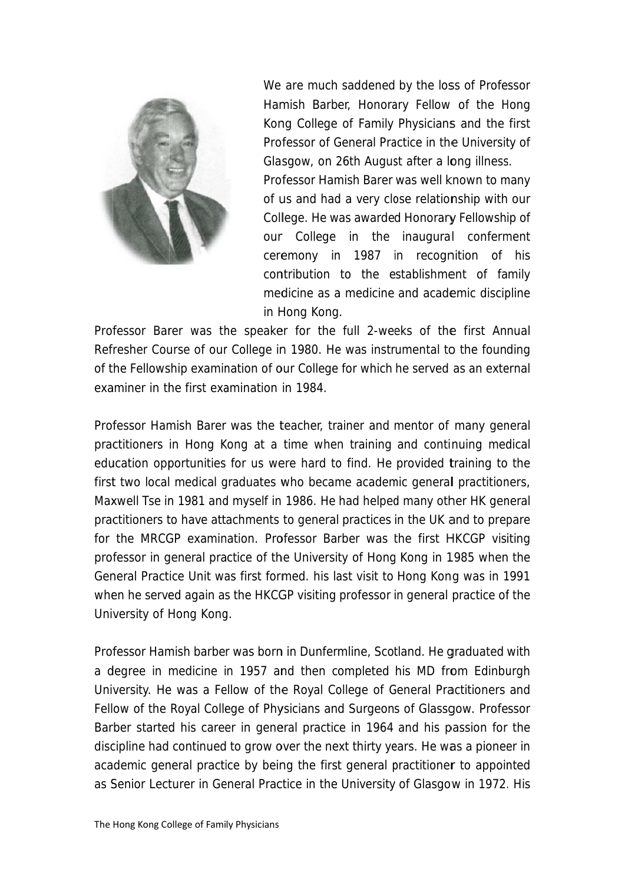

We are much saddened by the loss of Professor Hamish Barber, Honorary Fellow of the Hong Kong College of Family Physicians and the first Professor of General Practice in the University of Glasgow, on 26th August after a long illness.

Professor Hamish Barer was well known to many of us and had a very close relationship with our College. He was awarded Honorary Fellowship of our College in the inaugural conferment ceremony in 1987 in recognition of his contribution to the establishment of family medicine as a medicine and academic discipline in Hong Kong.

Professor Barer was the speaker for the full 2-weeks of the first Annual Refresher Course of our College in 1980. He was instrumental to the founding of the Fellowship examination of our College for which he served as an external examiner in the first examination in 1984.

Professor Hamish Barer was the teacher, trainer and mentor of many general practitioners in Hong Kong at a time when training and continuing medical education opportunities for us were hard to find. He provided training to the first two local medical graduates who became academic general practitioners, Maxwell Tse in 1981 and myself in 1986. He had helped many other HK general practitioners to have attachments to general practices in the UK and to prepare for the MRCGP examination. Professor Barber was the first HKCGP visiting professor in general practice of the University of Hong Kong in 1985 when the General Practice Unit was first formed. his last visit to Hong Kong was in 1991 when he served again as the HKCGP visiting professor in general practice of the University of Hong Kong.

Professor Hamish barber was born in Dunfermline, Scotland. He graduated with a degree in medicine in 1957 and then completed his MD from Edinburgh University. He was a Fellow of the Royal College of General Practitioners and Fellow of the Royal College of Physicians and Surgeons of Glassgow. Professor Barber started his career in general practice in 1964 and his passion for the discipline had continued to grow over the next thirty years. He was a pioneer in academic general practice by being the first general practitioner to appointed as Senior Lecturer in General Practice in the University of Glasgow in 1972. His